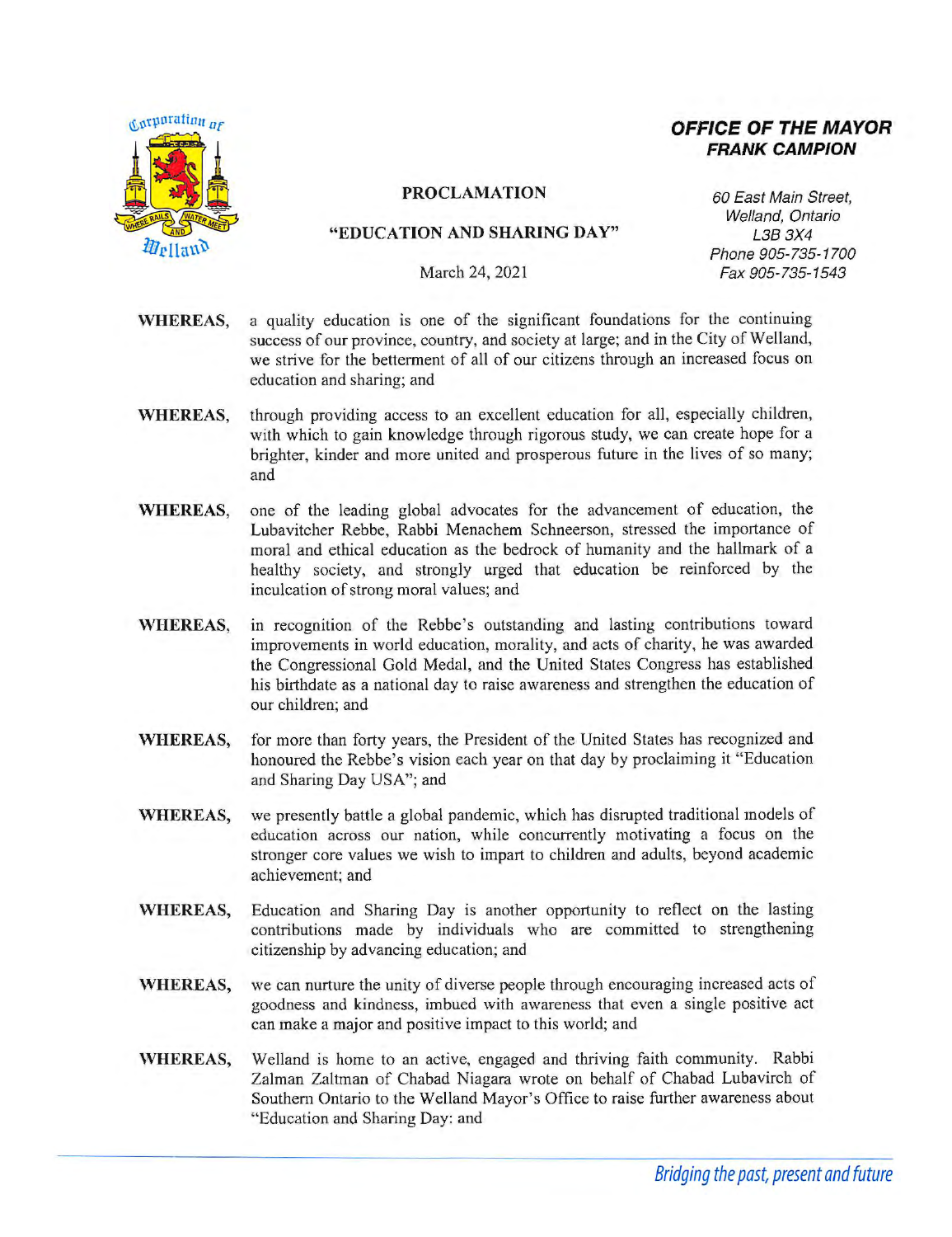

# **OFFICE OF THE MAYOR FRANK CAMPION**

#### **PROCLAMATION** 60 East Main Street,

#### **"EDUCATION AND SHARING DAY"** L38 3X4

Welland, Ontario Phone 905-735-1700 March 24, 2021 Fax 905-735-1543

- **WHEREAS,** a quality education is one of the significant foundations for the continuing success of our province, country, and society at large; and in the City of Welland, we strive for the betterment of all of our citizens through an increased focus on education and sharing; and
- **WHEREAS,** through providing access to an excellent education for all, especially children, with which to gain knowledge through rigorous study, we can create hope for a brighter, kinder and more united and prosperous future in the lives of so many; and
- **WHEREAS,** one of the leading global advocates for the advancement of education, the Lubavitcher Rebbe, Rabbi Menachem Schneerson, stressed the importance of moral and ethical education as the bedrock of humanity and the hallmark of a healthy society, and strongly urged that education be reinforced by the inculcation of strong moral values; and
- **WHEREAS,** in recognition of the Rebbe's outstanding and lasting contributions toward improvements in world education, morality, and acts of charity, he was awarded the Congressional Gold Medal, and the United States Congress has established his birthdate as a national day to raise awareness and strengthen the education of our children; and
- **WHEREAS,** for more than forty years, the President of the United States has recognized and honoured the Rebbe's vision each year on that day by proclaiming it "Education and Sharing Day USA"; and
- **WHEREAS,** we presently battle a global pandemic, which has disrupted traditional models of education across our nation, while concurrently motivating a focus on the stronger core values we wish to impart to children and adults, beyond academic achievement; and
- **WHEREAS,** Education and Sharing Day is another opportunity to reflect on the lasting contributions made by individuals who are committed to strengthening citizenship by advancing education; and
- **WHEREAS,** we can nurture the unity of diverse people through encouraging increased acts of goodness and kindness, imbued with awareness that even a single positive act can make a major and positive impact to this world; and
- **WHEREAS,** Welland is home to an active, engaged and thriving faith community. Rabbi Zalman Zaltman of Chabad Niagara wrote on behalf of Chabad Lubavirch of Southern Ontario to the Welland Mayor's Office to raise further awareness about "Education and Sharing Day: and